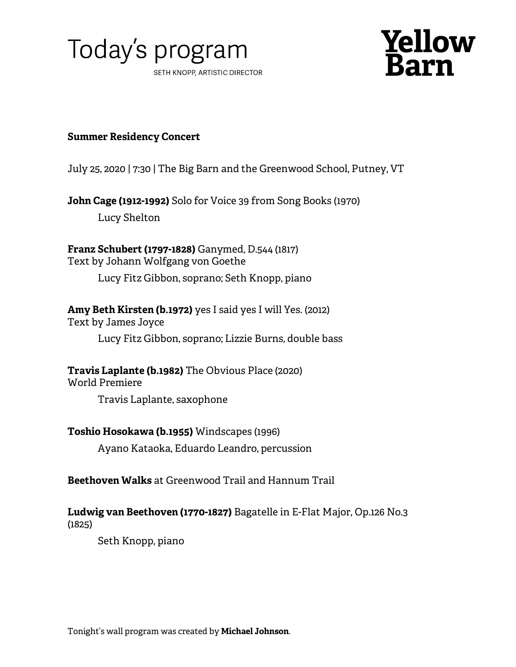



## **Summer Residency Concert**

July 25, 2020 | 7:30 | The Big Barn and the Greenwood School, Putney, VT

**John Cage (1912-1992)** Solo for Voice 39 from Song Books (1970)

Lucy Shelton

**Franz Schubert (1797-1828)** Ganymed, D.544 (1817) Text by Johann Wolfgang von Goethe

Lucy Fitz Gibbon, soprano; Seth Knopp, piano

# **Amy Beth Kirsten (b.1972)** yes I said yes I will Yes. (2012)

Text by James Joyce

Lucy Fitz Gibbon, soprano; Lizzie Burns, double bass

**Travis Laplante (b.1982)** The Obvious Place (2020)

World Premiere

Travis Laplante, saxophone

# **Toshio Hosokawa (b.1955)** Windscapes (1996)

Ayano Kataoka, Eduardo Leandro, percussion

# **Beethoven Walks** at Greenwood Trail and Hannum Trail

## **Ludwig van Beethoven (1770-1827)** Bagatelle in E-Flat Major, Op.126 No.3 (1825)

Seth Knopp, piano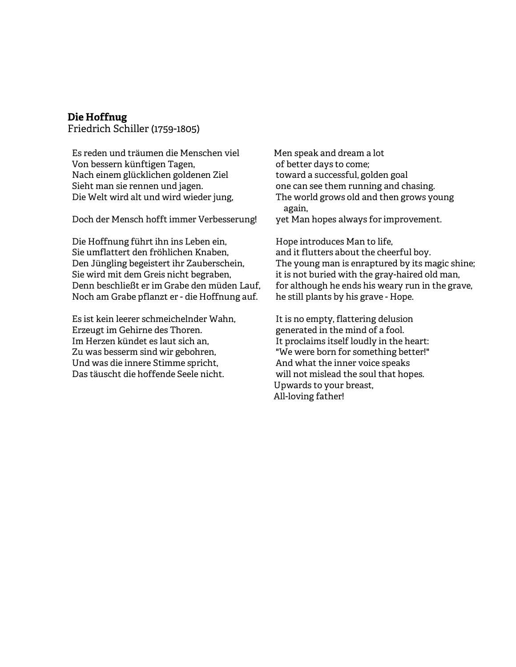### **Die Hoffnug**

Friedrich Schiller (1759-1805)

Es reden und träumen die Menschen viel Von bessern künftigen Tagen, Nach einem glücklichen goldenen Ziel Sieht man sie rennen und jagen. Die Welt wird alt und wird wieder jung,

Doch der Mensch hofft immer Verbesserung!

Die Hoffnung führt ihn ins Leben ein, Sie umflattert den fröhlichen Knaben, Den Jüngling begeistert ihr Zauberschein, Sie wird mit dem Greis nicht begraben, Denn beschließt er im Grabe den müden Lauf, Noch am Grabe pflanzt er - die Hoffnung auf.

Es ist kein leerer schmeichelnder Wahn, Erzeugt im Gehirne des Thoren. Im Herzen kündet es laut sich an, Zu was besserm sind wir gebohren, Und was die innere Stimme spricht, Das täuscht die hoffende Seele nicht.

Men speak and dream a lot of better days to come; toward a successful, golden goal one can see them running and chasing. The world grows old and then grows young again, yet Man hopes always for improvement.

Hope introduces Man to life, and it flutters about the cheerful boy. The young man is enraptured by its magic shine; it is not buried with the gray-haired old man, for although he ends his weary run in the grave, he still plants by his grave - Hope.

It is no empty, flattering delusion generated in the mind of a fool. It proclaims itself loudly in the heart: "We were born for something better!" And what the inner voice speaks will not mislead the soul that hopes. Upwards to your breast, All-loving father!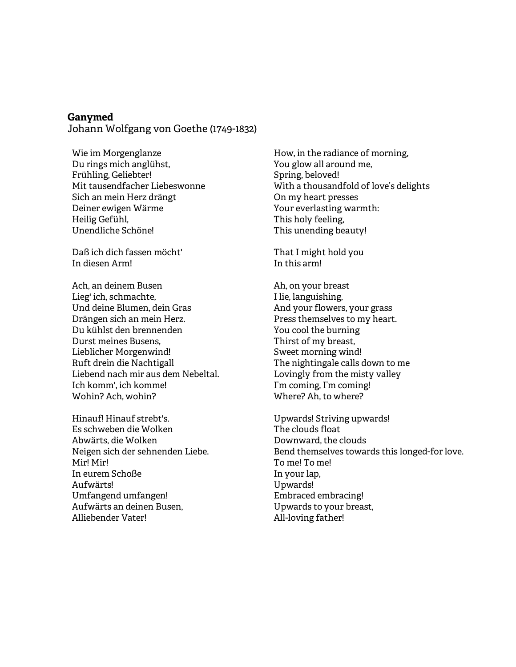#### **Ganymed**

Johann Wolfgang von Goethe (1749-1832)

Wie im Morgenglanze Du rings mich anglühst, Frühling, Geliebter! Mit tausendfacher Liebeswonne Sich an mein Herz drängt Deiner ewigen Wärme Heilig Gefühl, Unendliche Schöne!

Daß ich dich fassen möcht' In diesen Arm!

Ach, an deinem Busen Lieg' ich, schmachte, Und deine Blumen, dein Gras Drängen sich an mein Herz. Du kühlst den brennenden Durst meines Busens, Lieblicher Morgenwind! Ruft drein die Nachtigall Liebend nach mir aus dem Nebeltal. Ich komm', ich komme! Wohin? Ach, wohin?

Hinauf! Hinauf strebt's. Es schweben die Wolken Abwärts, die Wolken Neigen sich der sehnenden Liebe. Mir! Mir! In eurem Schoße Aufwärts! Umfangend umfangen! Aufwärts an deinen Busen, Alliebender Vater!

How, in the radiance of morning, You glow all around me, Spring, beloved! With a thousandfold of love's delights On my heart presses Your everlasting warmth: This holy feeling, This unending beauty!

That I might hold you In this arm!

Ah, on your breast I lie, languishing, And your flowers, your grass Press themselves to my heart. You cool the burning Thirst of my breast, Sweet morning wind! The nightingale calls down to me Lovingly from the misty valley I'm coming, I'm coming! Where? Ah, to where?

Upwards! Striving upwards! The clouds float Downward, the clouds Bend themselves towards this longed-for love. To me! To me! In your lap, Upwards! Embraced embracing! Upwards to your breast, All-loving father!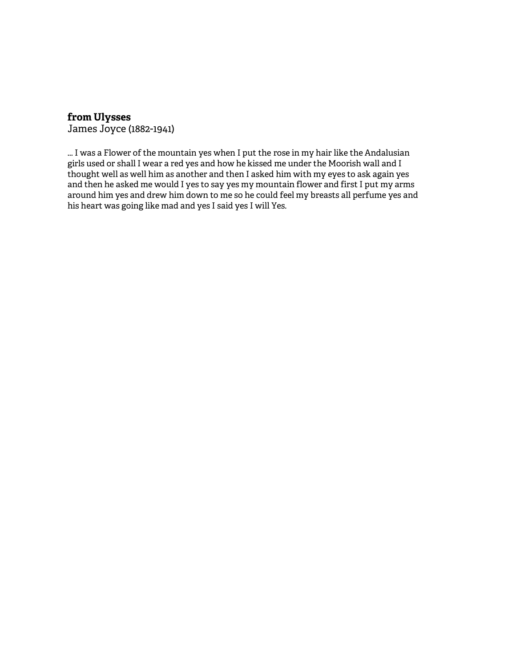### **from Ulysses**

James Joyce (1882-1941)

... I was a Flower of the mountain yes when I put the rose in my hair like the Andalusian girls used or shall I wear a red yes and how he kissed me under the Moorish wall and I thought well as well him as another and then I asked him with my eyes to ask again yes and then he asked me would I yes to say yes my mountain flower and first I put my arms around him yes and drew him down to me so he could feel my breasts all perfume yes and his heart was going like mad and yes I said yes I will Yes.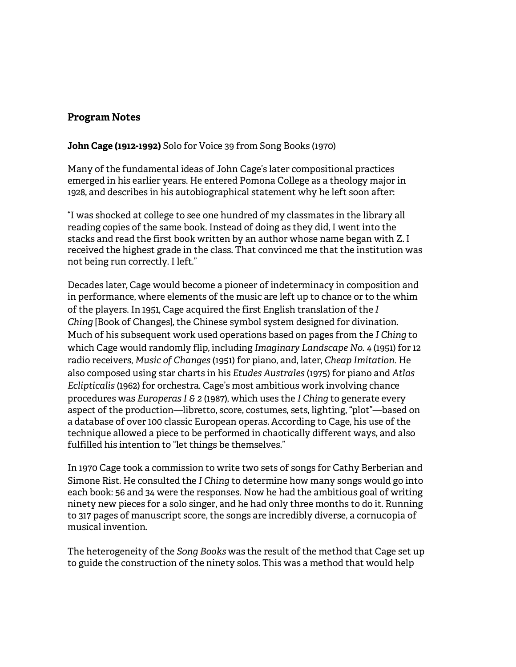### **Program Notes**

### **John Cage (1912-1992)** Solo for Voice 39 from Song Books (1970)

Many of the fundamental ideas of John Cage's later compositional practices emerged in his earlier years. He entered Pomona College as a theology major in 1928, and describes in his autobiographical statement why he left soon after:

"I was shocked at college to see one hundred of my classmates in the library all reading copies of the same book. Instead of doing as they did, I went into the stacks and read the first book written by an author whose name began with Z. I received the highest grade in the class. That convinced me that the institution was not being run correctly. I left."

Decades later, Cage would become a pioneer of indeterminacy in composition and in performance, where elements of the music are left up to chance or to the whim of the players. In 1951, Cage acquired the first English translation of the *I Ching* [Book of Changes]*,* the Chinese symbol system designed for divination. Much of his subsequent work used operations based on pages from the *I Ching* to which Cage would randomly flip, including *Imaginary Landscape No. 4* (1951) for 12 radio receivers, *Music of Changes* (1951) for piano, and, later, *Cheap Imitation.* He also composed using star charts in his *Etudes Australes* (1975) for piano and *Atlas Eclipticalis* (1962) for orchestra. Cage's most ambitious work involving chance procedures was *Europeras I & 2* (1987), which uses the *I Ching* to generate every aspect of the production—libretto, score, costumes, sets, lighting, "plot"—based on a database of over 100 classic European operas. According to Cage, his use of the technique allowed a piece to be performed in chaotically different ways, and also fulfilled his intention to "let things be themselves."

In 1970 Cage took a commission to write two sets of songs for Cathy Berberian and Simone Rist. He consulted the *I Ching* to determine how many songs would go into each book: 56 and 34 were the responses. Now he had the ambitious goal of writing ninety new pieces for a solo singer, and he had only three months to do it. Running to 317 pages of manuscript score, the songs are incredibly diverse, a cornucopia of musical invention.

The heterogeneity of the *Song Books* was the result of the method that Cage set up to guide the construction of the ninety solos. This was a method that would help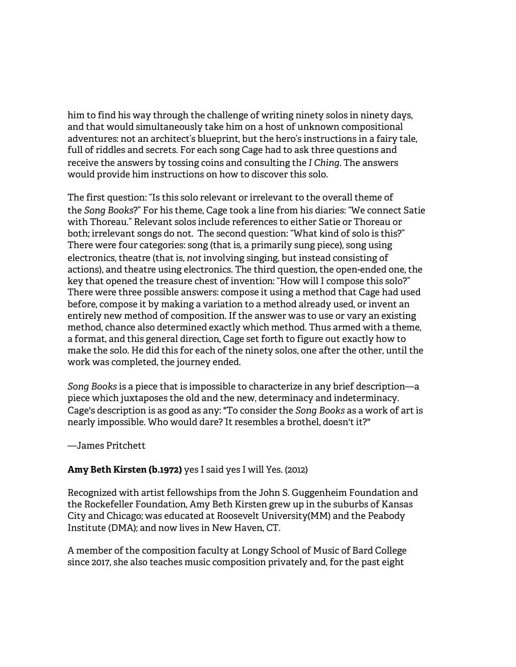him to find his way through the challenge of writing ninety solos in ninety days, and that would simultaneously take him on a host of unknown compositional adventures: not an architect's blueprint, but the hero's instructions in a fairy tale, full of riddles and secrets. For each song Cage had to ask three questions and receive the answers by tossing coins and consulting the *I Ching*. The answers would provide him instructions on how to discover this solo.

The first question: "Is this solo relevant or irrelevant to the overall theme of the *Song Books*?" For his theme, Cage took a line from his diaries: "We connect Satie with Thoreau." Relevant solos include references to either Satie or Thoreau or both; irrelevant songs do not. The second question: "What kind of solo is this?" There were four categories: song (that is, a primarily sung piece), song using electronics, theatre (that is, *not* involving singing, but instead consisting of actions), and theatre using electronics. The third question, the open-ended one, the key that opened the treasure chest of invention: "How will I compose this solo?" There were three possible answers: compose it using a method that Cage had used before, compose it by making a variation to a method already used, or invent an entirely new method of composition. If the answer was to use or vary an existing method, chance also determined exactly which method. Thus armed with a theme, a format, and this general direction, Cage set forth to figure out exactly how to make the solo. He did this for each of the ninety solos, one after the other, until the work was completed, the journey ended.

*Song Books* is a piece that is impossible to characterize in any brief description—a piece which juxtaposes the old and the new, determinacy and indeterminacy. Cage's description is as good as any: "To consider the *Song Books* as a work of art is nearly impossible. Who would dare? It resembles a brothel, doesn't it?"

#### —James Pritchett

### **Amy Beth Kirsten (b.1972)** yes I said yes I will Yes. (2012)

Recognized with artist fellowships from the John S. Guggenheim Foundation and the Rockefeller Foundation, Amy Beth Kirsten grew up in the suburbs of Kansas City and Chicago; was educated at Roosevelt University(MM) and the Peabody Institute (DMA); and now lives in New Haven, CT.

A member of the composition faculty at Longy School of Music of Bard College since 2017, she also teaches music composition privately and, for the past eight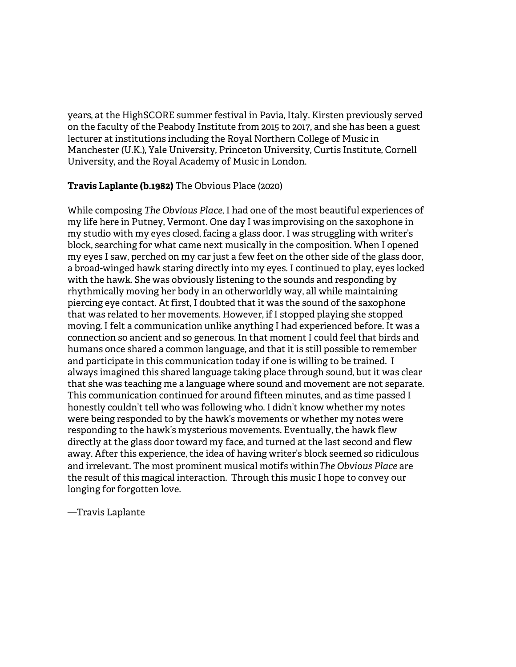years, at the HighSCORE summer festival in Pavia, Italy. Kirsten previously served on the faculty of the Peabody Institute from 2015 to 2017, and she has been a guest lecturer at institutions including the Royal Northern College of Music in Manchester (U.K.), Yale University, Princeton University, Curtis Institute, Cornell University, and the Royal Academy of Music in London.

### **Travis Laplante (b.1982)** The Obvious Place (2020)

While composing *The Obvious Place*, I had one of the most beautiful experiences of my life here in Putney, Vermont. One day I was improvising on the saxophone in my studio with my eyes closed, facing a glass door. I was struggling with writer's block, searching for what came next musically in the composition. When I opened my eyes I saw, perched on my car just a few feet on the other side of the glass door, a broad-winged hawk staring directly into my eyes. I continued to play, eyes locked with the hawk. She was obviously listening to the sounds and responding by rhythmically moving her body in an otherworldly way, all while maintaining piercing eye contact. At first, I doubted that it was the sound of the saxophone that was related to her movements. However, if I stopped playing she stopped moving. I felt a communication unlike anything I had experienced before. It was a connection so ancient and so generous. In that moment I could feel that birds and humans once shared a common language, and that it is still possible to remember and participate in this communication today if one is willing to be trained. I always imagined this shared language taking place through sound, but it was clear that she was teaching me a language where sound and movement are not separate. This communication continued for around fifteen minutes, and as time passed I honestly couldn't tell who was following who. I didn't know whether my notes were being responded to by the hawk's movements or whether my notes were responding to the hawk's mysterious movements. Eventually, the hawk flew directly at the glass door toward my face, and turned at the last second and flew away. After this experience, the idea of having writer's block seemed so ridiculous and irrelevant. The most prominent musical motifs within*The Obvious Place* are the result of this magical interaction. Through this music I hope to convey our longing for forgotten love.

—Travis Laplante